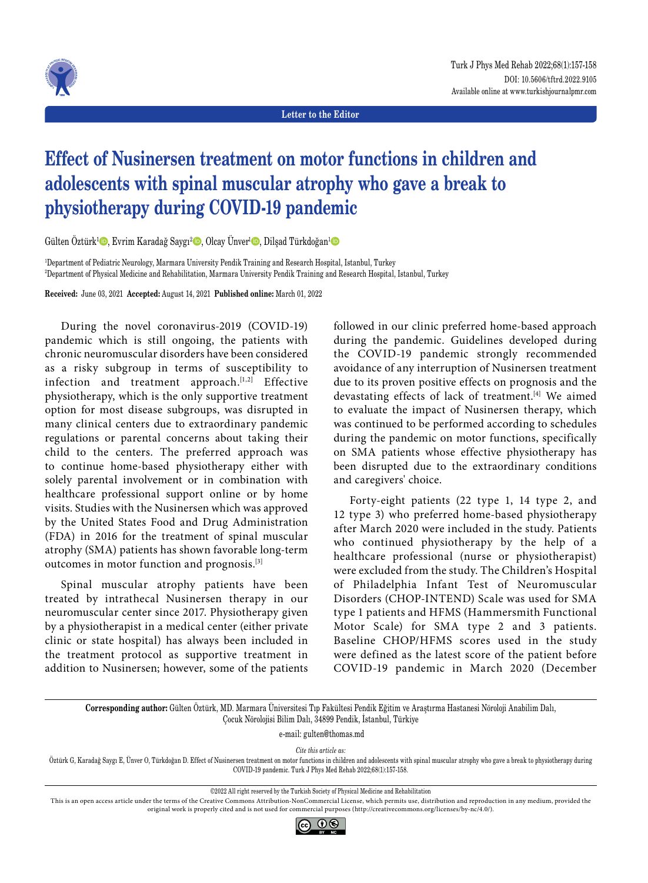

**Letter to the Editor**

## **Effect of Nusinersen treatment on motor functions in children and adolescents with spinal muscular atrophy who gave a break to physiotherapy during COVID-19 pandemic**

Gülten Öztürk<sup>ı</sup> ©, Evrim Karadağ Saygı<sup>2</sup> ◎, Olcay Ünver<sup>ı</sup> ◎, Dilşad Türkdoğan<sup>ı</sup> ◎

1 Department of Pediatric Neurology, Marmara University Pendik Training and Research Hospital, Istanbul, Turkey 2 Department of Physical Medicine and Rehabilitation, Marmara University Pendik Training and Research Hospital, Istanbul, Turkey

**Received:** June 03, 2021 **Accepted:** August 14, 2021 **Published online:** March 01, 2022

During the novel coronavirus-2019 (COVID-19) pandemic which is still ongoing, the patients with chronic neuromuscular disorders have been considered as a risky subgroup in terms of susceptibility to infection and treatment approach.[1,2] Effective physiotherapy, which is the only supportive treatment option for most disease subgroups, was disrupted in many clinical centers due to extraordinary pandemic regulations or parental concerns about taking their child to the centers. The preferred approach was to continue home-based physiotherapy either with solely parental involvement or in combination with healthcare professional support online or by home visits. Studies with the Nusinersen which was approved by the United States Food and Drug Administration (FDA) in 2016 for the treatment of spinal muscular atrophy (SMA) patients has shown favorable long-term outcomes in motor function and prognosis.[3]

Spinal muscular atrophy patients have been treated by intrathecal Nusinersen therapy in our neuromuscular center since 2017. Physiotherapy given by a physiotherapist in a medical center (either private clinic or state hospital) has always been included in the treatment protocol as supportive treatment in addition to Nusinersen; however, some of the patients followed in our clinic preferred home-based approach during the pandemic. Guidelines developed during the COVID-19 pandemic strongly recommended avoidance of any interruption of Nusinersen treatment due to its proven positive effects on prognosis and the devastating effects of lack of treatment.[4] We aimed to evaluate the impact of Nusinersen therapy, which was continued to be performed according to schedules during the pandemic on motor functions, specifically on SMA patients whose effective physiotherapy has been disrupted due to the extraordinary conditions and caregivers' choice.

Forty-eight patients (22 type 1, 14 type 2, and 12 type 3) who preferred home-based physiotherapy after March 2020 were included in the study. Patients who continued physiotherapy by the help of a healthcare professional (nurse or physiotherapist) were excluded from the study. The Children's Hospital of Philadelphia Infant Test of Neuromuscular Disorders (CHOP-INTEND) Scale was used for SMA type 1 patients and HFMS (Hammersmith Functional Motor Scale) for SMA type 2 and 3 patients. Baseline CHOP/HFMS scores used in the study were defined as the latest score of the patient before COVID-19 pandemic in March 2020 (December

**Corresponding author:** Gülten Öztürk, MD. Marmara Üniversitesi Tıp Fakültesi Pendik Eğitim ve Araştırma Hastanesi Nöroloji Anabilim Dalı, Çocuk Nörolojisi Bilim Dalı, 34899 Pendik, İstanbul, Türkiye

e-mail: gulten@thomas.md

*Cite this article as:*

Öztürk G, Karadağ Saygı E, Ünver O, Türkdoğan D. Effect of Nusinersen treatment on motor functions in children and adolescents with spinal muscular atrophy who gave a break to physiotherapy during COVID-19 pandemic. Turk J Phys Med Rehab 2022;68(1):157-158.

©2022 All right reserved by the Turkish Society of Physical Medicine and Rehabilitation

This is an open access article under the terms of the Creative Commons Attribution-NonCommercial License, which permits use, distribution and reproduction in any medium, provided the original work is properly cited and is not used for commercial purposes (http://creativecommons.org/licenses/by-nc/4.0/).